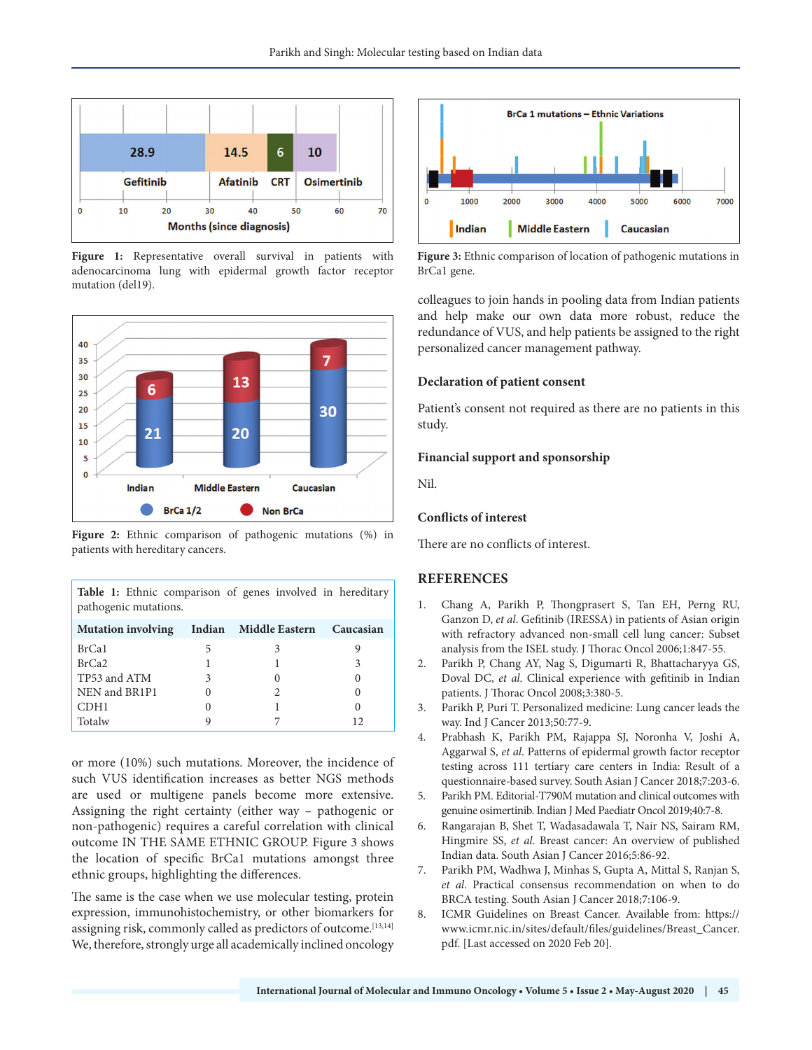

**Figure 1:** Representative overall survival in patients with adenocarcinoma lung with epidermal growth factor receptor mutation (del19).



**Figure 2:** Ethnic comparison of pathogenic mutations (%) in patients with hereditary cancers.

**Table 1:** Ethnic comparison of genes involved in hereditary pathogenic mutations.

| <b>Mutation involving</b> | Indian Middle Eastern Caucasian |    |
|---------------------------|---------------------------------|----|
| BrCa1                     |                                 |    |
| BrCa <sub>2</sub>         |                                 |    |
| TP53 and ATM              |                                 |    |
| NEN and BR1P1             |                                 |    |
| CDH1                      |                                 |    |
| Totalw                    |                                 | 12 |

or more (10%) such mutations. Moreover, the incidence of such VUS identification increases as better NGS methods are used or multigene panels become more extensive. Assigning the right certainty (either way – pathogenic or non-pathogenic) requires a careful correlation with clinical outcome IN THE SAME ETHNIC GROUP. Figure 3 shows the location of specific BrCa1 mutations amongst three ethnic groups, highlighting the differences.

The same is the case when we use molecular testing, protein expression, immunohistochemistry, or other biomarkers for assigning risk, commonly called as predictors of outcome.<sup>[13,14]</sup> We, therefore, strongly urge all academically inclined oncology



**Figure 3:** Ethnic comparison of location of pathogenic mutations in BrCa1 gene.

colleagues to join hands in pooling data from Indian patients and help make our own data more robust, reduce the redundance of VUS, and help patients be assigned to the right personalized cancer management pathway.

## **Declaration of patient consent**

Patient's consent not required as there are no patients in this study.

## **Financial support and sponsorship**

Nil.

## **Conflicts of interest**

There are no conflicts of interest.

## **REFERENCES**

- 1. Chang A, Parikh P, Thongprasert S, Tan EH, Perng RU, Ganzon D, *et al*. Gefitinib (IRESSA) in patients of Asian origin with refractory advanced non-small cell lung cancer: Subset analysis from the ISEL study. J Thorac Oncol 2006;1:847-55.
- 2. Parikh P, Chang AY, Nag S, Digumarti R, Bhattacharyya GS, Doval DC, *et al*. Clinical experience with gefitinib in Indian patients. J Thorac Oncol 2008;3:380-5.
- 3. Parikh P, Puri T. Personalized medicine: Lung cancer leads the way. Ind J Cancer 2013;50:77-9.
- 4. Prabhash K, Parikh PM, Rajappa SJ, Noronha V, Joshi A, Aggarwal S, *et al*. Patterns of epidermal growth factor receptor testing across 111 tertiary care centers in India: Result of a questionnaire-based survey. South Asian J Cancer 2018;7:203-6.
- 5. Parikh PM. Editorial-T790M mutation and clinical outcomes with genuine osimertinib. Indian J Med Paediatr Oncol 2019;40:7-8.
- 6. Rangarajan B, Shet T, Wadasadawala T, Nair NS, Sairam RM, Hingmire SS, *et al*. Breast cancer: An overview of published Indian data. South Asian J Cancer 2016;5:86-92.
- 7. Parikh PM, Wadhwa J, Minhas S, Gupta A, Mittal S, Ranjan S, *et al*. Practical consensus recommendation on when to do BRCA testing. South Asian J Cancer 2018;7:106-9.
- 8. ICMR Guidelines on Breast Cancer. Available from: https:// www.icmr.nic.in/sites/default/files/guidelines/Breast\_Cancer. pdf. [Last accessed on 2020 Feb 20].